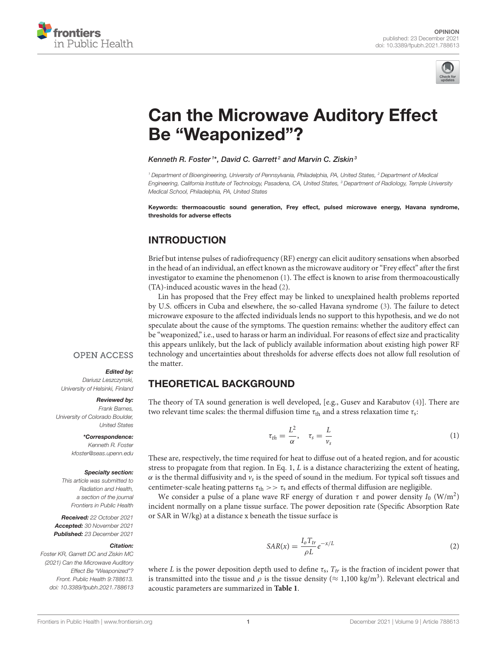



# [Can the Microwave Auditory Effect](https://www.frontiersin.org/articles/10.3389/fpubh.2021.788613/full) Be "Weaponized"?

Kenneth R. Foster<sup>1\*</sup>, David C. Garrett<sup>2</sup> and Marvin C. Ziskin<sup>3</sup>

*<sup>1</sup> Department of Bioengineering, University of Pennsylvania, Philadelphia, PA, United States, <sup>2</sup> Department of Medical Engineering, California Institute of Technology, Pasadena, CA, United States, <sup>3</sup> Department of Radiology, Temple University Medical School, Philadelphia, PA, United States*

Keywords: thermoacoustic sound generation, Frey effect, pulsed microwave energy, Havana syndrome, thresholds for adverse effects

## INTRODUCTION

Brief but intense pulses of radiofrequency (RF) energy can elicit auditory sensations when absorbed in the head of an individual, an effect known as the microwave auditory or "Frey effect" after the first investigator to examine the phenomenon [\(1\)](#page-3-0). The effect is known to arise from thermoacoustically (TA)-induced acoustic waves in the head [\(2\)](#page-3-1).

Lin has proposed that the Frey effect may be linked to unexplained health problems reported by U.S. officers in Cuba and elsewhere, the so-called Havana syndrome [\(3\)](#page-3-2). The failure to detect microwave exposure to the affected individuals lends no support to this hypothesis, and we do not speculate about the cause of the symptoms. The question remains: whether the auditory effect can be "weaponized," i.e., used to harass or harm an individual. For reasons of effect size and practicality this appears unlikely, but the lack of publicly available information about existing high power RF technology and uncertainties about thresholds for adverse effects does not allow full resolution of the matter.

### **OPEN ACCESS**

#### Edited by:

*Dariusz Leszczynski, University of Helsinki, Finland*

#### Reviewed by:

*Frank Barnes, University of Colorado Boulder, United States*

> \*Correspondence: *Kenneth R. Foster*

*[kfoster@seas.upenn.edu](mailto:kfoster@seas.upenn.edu)*

#### Specialty section:

*This article was submitted to Radiation and Health, a section of the journal Frontiers in Public Health*

Received: *22 October 2021* Accepted: *30 November 2021* Published: *23 December 2021*

#### Citation:

*Foster KR, Garrett DC and Ziskin MC (2021) Can the Microwave Auditory Effect Be "Weaponized"? Front. Public Health 9:788613. doi: [10.3389/fpubh.2021.788613](https://doi.org/10.3389/fpubh.2021.788613)*

## THEORETICAL BACKGROUND

The theory of TA sound generation is well developed, [e.g., Gusev and Karabutov [\(4\)](#page-3-3)]. There are two relevant time scales: the thermal diffusion time  $\tau_{\text{th}}$  and a stress relaxation time  $\tau_{\text{s}}$ :

 $\tau$ 

$$
\tau_{th} = \frac{L^2}{\alpha}, \quad \tau_s = \frac{L}{\nu_s} \tag{1}
$$

These are, respectively, the time required for heat to diffuse out of a heated region, and for acoustic stress to propagate from that region. In Eq. 1, L is a distance characterizing the extent of heating,  $\alpha$  is the thermal diffusivity and  $v_s$  is the speed of sound in the medium. For typical soft tissues and centimeter-scale heating patterns  $\tau_{\text{th}} >> \tau_{\text{s}}$  and effects of thermal diffusion are negligible.

We consider a pulse of a plane wave RF energy of duration  $\tau$  and power density  $I_0$  (W/m<sup>2</sup>) incident normally on a plane tissue surface. The power deposition rate (Specific Absorption Rate or SAR in W/kg) at a distance x beneath the tissue surface is

$$
SAR(x) = \frac{I_o T_{tr}}{\rho L} e^{-x/L}
$$
 (2)

where L is the power deposition depth used to define  $\tau_s$ ,  $T_{tr}$  is the fraction of incident power that is transmitted into the tissue and  $\rho$  is the tissue density ( $\approx 1,100 \text{ kg/m}^3$ ). Relevant electrical and acoustic parameters are summarized in **[Table 1](#page-1-0)**.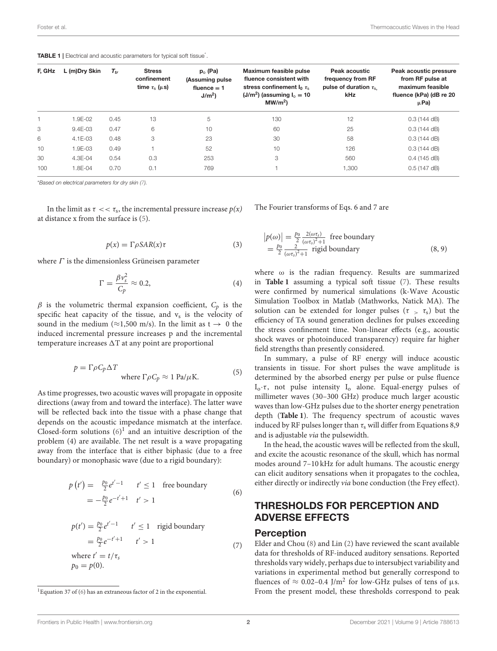<span id="page-1-0"></span>TABLE 1 | Electrical and acoustic parameters for typical soft tissue<sup>\*</sup>.

| F, GHz | L (m)Dry Skin | $T_{tr}$ | <b>Stress</b><br>confinement<br>time $\tau_{\rm s}$ ( $\mu$ s) | $p_0$ (Pa)<br>(Assuming pulse<br>fluence $= 1$<br>J/m <sup>2</sup> | Maximum feasible pulse<br>fluence consistent with<br>stress confinement $I_0 \tau_s$<br>$(J/m2)$ (assuming $Io = 10$<br>MW/m <sup>2</sup> | Peak acoustic<br>frequency from RF<br>pulse of duration $\tau_{\rm s}$<br>kHz | Peak acoustic pressure<br>from RF pulse at<br>maximum feasible<br>fluence (kPa) (dB re 20<br>μPa) |
|--------|---------------|----------|----------------------------------------------------------------|--------------------------------------------------------------------|-------------------------------------------------------------------------------------------------------------------------------------------|-------------------------------------------------------------------------------|---------------------------------------------------------------------------------------------------|
|        | 1.9E-02       | 0.45     | 13                                                             | 5                                                                  | 130                                                                                                                                       | 12                                                                            | $0.3$ (144 dB)                                                                                    |
| 3      | $9.4E-03$     | 0.47     | 6                                                              | 10                                                                 | 60                                                                                                                                        | 25                                                                            | $0.3$ (144 dB)                                                                                    |
| 6      | $4.1E-03$     | 0.48     | 3                                                              | 23                                                                 | 30                                                                                                                                        | 58                                                                            | $0.3$ (144 dB)                                                                                    |
| 10     | 1.9E-03       | 0.49     |                                                                | 52                                                                 | 10                                                                                                                                        | 126                                                                           | $0.3$ (144 dB)                                                                                    |
| 30     | 4.3E-04       | 0.54     | 0.3                                                            | 253                                                                | 3                                                                                                                                         | 560                                                                           | $0.4$ (145 dB)                                                                                    |
| 100    | 1.8E-04       | 0.70     | 0.1                                                            | 769                                                                |                                                                                                                                           | 1,300                                                                         | $0.5$ (147 dB)                                                                                    |

\**Based on electrical parameters for dry skin [\(7\)](#page-3-4).*

In the limit as  $\tau << \tau_s$ , the incremental pressure increase  $p(x)$ at distance x from the surface is [\(5\)](#page-3-5).

$$
p(x) = \Gamma \rho SAR(x)\tau \tag{3}
$$

where  $\Gamma$  is the dimensionless Grüneisen parameter

$$
\Gamma = \frac{\beta v_s^2}{C_p} \approx 0.2,\tag{4}
$$

 $\beta$  is the volumetric thermal expansion coefficient,  $C_p$  is the specific heat capacity of the tissue, and  $v_s$  is the velocity of sound in the medium ( $\approx$ 1,500 m/s). In the limit as t  $\rightarrow$  0 the induced incremental pressure increases p and the incremental temperature increases  $\Delta T$  at any point are proportional

$$
p = \Gamma \rho C_p \Delta T
$$
  
where  $\Gamma \rho C_p \approx 1 \text{ Pa}/\mu\text{K}$ . (5)

As time progresses, two acoustic waves will propagate in opposite directions (away from and toward the interface). The latter wave will be reflected back into the tissue with a phase change that depends on the acoustic impedance mismatch at the interface. Closed-form solutions  $(6)^1$  $(6)^1$  and an intuitive description of the problem (4) are available. The net result is a wave propagating away from the interface that is either biphasic (due to a free boundary) or monophasic wave (due to a rigid boundary):

$$
p(t') = \frac{p_0}{2}e^{t'-1} \qquad t' \le 1 \quad \text{free boundary}
$$
  
=  $-\frac{p_0}{2}e^{-t'+1} \qquad t' > 1$  (6)

$$
p(t') = \frac{p_0}{2} e^{t'-1} \qquad t' \le 1 \quad \text{rigid boundary}
$$

$$
= \frac{p_0}{2} e^{-t'+1} \qquad t' > 1
$$

$$
\text{where } t' = t/\tau_s
$$

$$
p_0 = p(0).
$$
 (7)

The Fourier transforms of Eqs. 6 and 7 are

$$
|p(\omega)| = \frac{p_0}{2} \frac{2(\omega \tau_s)}{(\omega \tau_s)^2 + 1}
$$
 free boundary  
=  $\frac{p_0}{2} \frac{2}{(\omega \tau_s)^2 + 1}$  rigid boundary (8, 9)

where ω is the radian frequency. Results are summarized in **[Table 1](#page-1-0)** assuming a typical soft tissue [\(7\)](#page-3-4). These results were confirmed by numerical simulations (k-Wave Acoustic Simulation Toolbox in Matlab (Mathworks, Natick MA). The solution can be extended for longer pulses ( $\tau > \tau_s$ ) but the efficiency of TA sound generation declines for pulses exceeding the stress confinement time. Non-linear effects (e.g., acoustic shock waves or photoinduced transparency) require far higher field strengths than presently considered.

In summary, a pulse of RF energy will induce acoustic transients in tissue. For short pulses the wave amplitude is determined by the absorbed energy per pulse or pulse fluence  $I_0 \cdot \tau$ , not pulse intensity  $I_0$  alone. Equal-energy pulses of millimeter waves (30–300 GHz) produce much larger acoustic waves than low-GHz pulses due to the shorter energy penetration depth (**[Table 1](#page-1-0)**). The frequency spectrum of acoustic waves induced by RF pulses longer than  $\tau_s$  will differ from Equations 8,9 and is adjustable via the pulsewidth.

In the head, the acoustic waves will be reflected from the skull, and excite the acoustic resonance of the skull, which has normal modes around 7–10 kHz for adult humans. The acoustic energy can elicit auditory sensations when it propagates to the cochlea, either directly or indirectly via bone conduction (the Frey effect).

## THRESHOLDS FOR PERCEPTION AND ADVERSE EFFECTS

#### Perception

Elder and Chou [\(8\)](#page-3-7) and Lin [\(2\)](#page-3-1) have reviewed the scant available data for thresholds of RF-induced auditory sensations. Reported thresholds vary widely, perhaps due to intersubject variability and variations in experimental method but generally correspond to fluences of  $\approx 0.02$ –0.4 J/m<sup>2</sup> for low-GHz pulses of tens of  $\mu$ s. From the present model, these thresholds correspond to peak

<span id="page-1-1"></span><sup>&</sup>lt;sup>1</sup> Equation 37 of  $(6)$  has an extraneous factor of 2 in the exponential.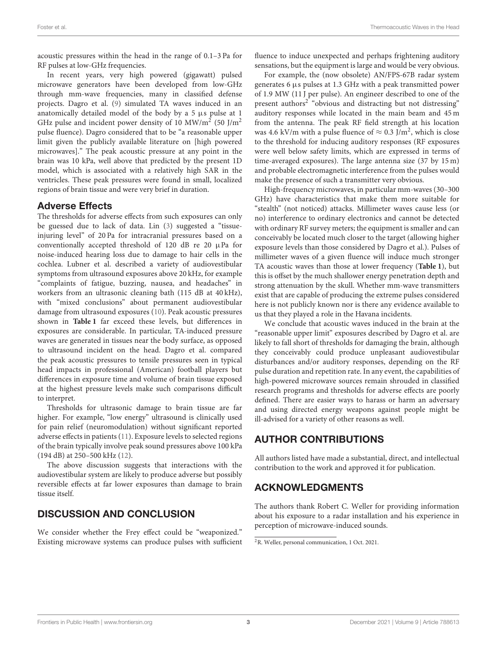acoustic pressures within the head in the range of 0.1–3 Pa for RF pulses at low-GHz frequencies.

In recent years, very high powered (gigawatt) pulsed microwave generators have been developed from low-GHz through mm-wave frequencies, many in classified defense projects. Dagro et al. [\(9\)](#page-3-8) simulated TA waves induced in an anatomically detailed model of the body by a 5 µs pulse at 1 GHz pulse and incident power density of 10 MW/m<sup>2</sup> (50 J/m<sup>2</sup> pulse fluence). Dagro considered that to be "a reasonable upper limit given the publicly available literature on [high powered microwaves]." The peak acoustic pressure at any point in the brain was 10 kPa, well above that predicted by the present 1D model, which is associated with a relatively high SAR in the ventricles. These peak pressures were found in small, localized regions of brain tissue and were very brief in duration.

## Adverse Effects

The thresholds for adverse effects from such exposures can only be guessed due to lack of data. Lin [\(3\)](#page-3-2) suggested a "tissueinjuring level" of 20 Pa for intracranial pressures based on a conventionally accepted threshold of 120 dB re 20 µPa for noise-induced hearing loss due to damage to hair cells in the cochlea. Lubner et al. described a variety of audiovestibular symptoms from ultrasound exposures above 20 kHz, for example "complaints of fatigue, buzzing, nausea, and headaches" in workers from an ultrasonic cleaning bath (115 dB at 40 kHz), with "mixed conclusions" about permanent audiovestibular damage from ultrasound exposures [\(10\)](#page-3-9). Peak acoustic pressures shown in **[Table 1](#page-1-0)** far exceed these levels, but differences in exposures are considerable. In particular, TA-induced pressure waves are generated in tissues near the body surface, as opposed to ultrasound incident on the head. Dagro et al. compared the peak acoustic pressures to tensile pressures seen in typical head impacts in professional (American) football players but differences in exposure time and volume of brain tissue exposed at the highest pressure levels make such comparisons difficult to interpret.

Thresholds for ultrasonic damage to brain tissue are far higher. For example, "low energy" ultrasound is clinically used for pain relief (neuromodulation) without significant reported adverse effects in patients [\(11\)](#page-3-10). Exposure levels to selected regions of the brain typically involve peak sound pressures above 100 kPa (194 dB) at 250–500 kHz [\(12\)](#page-3-11).

The above discussion suggests that interactions with the audiovestibular system are likely to produce adverse but possibly reversible effects at far lower exposures than damage to brain tissue itself.

# DISCUSSION AND CONCLUSION

We consider whether the Frey effect could be "weaponized." Existing microwave systems can produce pulses with sufficient fluence to induce unexpected and perhaps frightening auditory sensations, but the equipment is large and would be very obvious.

For example, the (now obsolete) AN/FPS-67B radar system generates 6 µs pulses at 1.3 GHz with a peak transmitted power of 1.9 MW (11 J per pulse). An engineer described to one of the present authors<sup>[2](#page-2-0)</sup> "obvious and distracting but not distressing" auditory responses while located in the main beam and 45 m from the antenna. The peak RF field strength at his location was 4.6 kV/m with a pulse fluence of  $\approx 0.3$  J/m<sup>2</sup>, which is close to the threshold for inducing auditory responses (RF exposures were well below safety limits, which are expressed in terms of time-averaged exposures). The large antenna size (37 by 15 m) and probable electromagnetic interference from the pulses would make the presence of such a transmitter very obvious.

High-frequency microwaves, in particular mm-waves (30–300 GHz) have characteristics that make them more suitable for "stealth" (not noticed) attacks. Millimeter waves cause less (or no) interference to ordinary electronics and cannot be detected with ordinary RF survey meters; the equipment is smaller and can conceivably be located much closer to the target (allowing higher exposure levels than those considered by Dagro et al.). Pulses of millimeter waves of a given fluence will induce much stronger TA acoustic waves than those at lower frequency (**[Table 1](#page-1-0)**), but this is offset by the much shallower energy penetration depth and strong attenuation by the skull. Whether mm-wave transmitters exist that are capable of producing the extreme pulses considered here is not publicly known nor is there any evidence available to us that they played a role in the Havana incidents.

We conclude that acoustic waves induced in the brain at the "reasonable upper limit" exposures described by Dagro et al. are likely to fall short of thresholds for damaging the brain, although they conceivably could produce unpleasant audiovestibular disturbances and/or auditory responses, depending on the RF pulse duration and repetition rate. In any event, the capabilities of high-powered microwave sources remain shrouded in classified research programs and thresholds for adverse effects are poorly defined. There are easier ways to harass or harm an adversary and using directed energy weapons against people might be ill-advised for a variety of other reasons as well.

# AUTHOR CONTRIBUTIONS

All authors listed have made a substantial, direct, and intellectual contribution to the work and approved it for publication.

# ACKNOWLEDGMENTS

The authors thank Robert C. Weller for providing information about his exposure to a radar installation and his experience in perception of microwave-induced sounds.

<span id="page-2-0"></span><sup>2</sup>R. Weller, personal communication, 1 Oct. 2021.